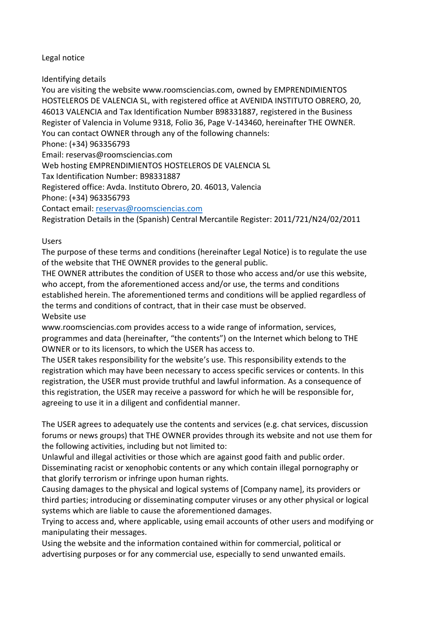## Legal notice

Identifying details

You are visiting the website www.roomsciencias.com, owned by EMPRENDIMIENTOS HOSTELEROS DE VALENCIA SL, with registered office at AVENIDA INSTITUTO OBRERO, 20, 46013 VALENCIA and Tax Identification Number B98331887, registered in the Business Register of Valencia in Volume 9318, Folio 36, Page V-143460, hereinafter THE OWNER. You can contact OWNER through any of the following channels: Phone: (+34) 963356793 Email: reservas@roomsciencias.com Web hosting EMPRENDIMIENTOS HOSTELEROS DE VALENCIA SL Tax Identification Number: B98331887 Registered office: Avda. Instituto Obrero, 20. 46013, Valencia Phone: (+34) 963356793 Contact email: [reservas@roomsciencias.com](mailto:reservas@hotelkramervalencia.com) Registration Details in the (Spanish) Central Mercantile Register: 2011/721/N24/02/2011

Users

The purpose of these terms and conditions (hereinafter Legal Notice) is to regulate the use of the website that THE OWNER provides to the general public.

THE OWNER attributes the condition of USER to those who access and/or use this website, who accept, from the aforementioned access and/or use, the terms and conditions established herein. The aforementioned terms and conditions will be applied regardless of the terms and conditions of contract, that in their case must be observed.

Website use

www.roomsciencias.com provides access to a wide range of information, services, programmes and data (hereinafter, "the contents") on the Internet which belong to THE OWNER or to its licensors, to which the USER has access to.

The USER takes responsibility for the website's use. This responsibility extends to the registration which may have been necessary to access specific services or contents. In this registration, the USER must provide truthful and lawful information. As a consequence of this registration, the USER may receive a password for which he will be responsible for, agreeing to use it in a diligent and confidential manner.

The USER agrees to adequately use the contents and services (e.g. chat services, discussion forums or news groups) that THE OWNER provides through its website and not use them for the following activities, including but not limited to:

Unlawful and illegal activities or those which are against good faith and public order. Disseminating racist or xenophobic contents or any which contain illegal pornography or that glorify terrorism or infringe upon human rights.

Causing damages to the physical and logical systems of [Company name], its providers or third parties; introducing or disseminating computer viruses or any other physical or logical systems which are liable to cause the aforementioned damages.

Trying to access and, where applicable, using email accounts of other users and modifying or manipulating their messages.

Using the website and the information contained within for commercial, political or advertising purposes or for any commercial use, especially to send unwanted emails.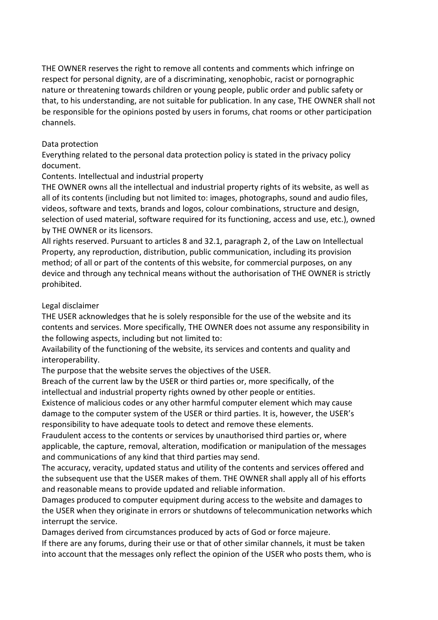THE OWNER reserves the right to remove all contents and comments which infringe on respect for personal dignity, are of a discriminating, xenophobic, racist or pornographic nature or threatening towards children or young people, public order and public safety or that, to his understanding, are not suitable for publication. In any case, THE OWNER shall not be responsible for the opinions posted by users in forums, chat rooms or other participation channels.

## Data protection

Everything related to the personal data protection policy is stated in the privacy policy document.

# Contents. Intellectual and industrial property

THE OWNER owns all the intellectual and industrial property rights of its website, as well as all of its contents (including but not limited to: images, photographs, sound and audio files, videos, software and texts, brands and logos, colour combinations, structure and design, selection of used material, software required for its functioning, access and use, etc.), owned by THE OWNER or its licensors.

All rights reserved. Pursuant to articles 8 and 32.1, paragraph 2, of the Law on Intellectual Property, any reproduction, distribution, public communication, including its provision method; of all or part of the contents of this website, for commercial purposes, on any device and through any technical means without the authorisation of THE OWNER is strictly prohibited.

# Legal disclaimer

THE USER acknowledges that he is solely responsible for the use of the website and its contents and services. More specifically, THE OWNER does not assume any responsibility in the following aspects, including but not limited to:

Availability of the functioning of the website, its services and contents and quality and interoperability.

The purpose that the website serves the objectives of the USER.

Breach of the current law by the USER or third parties or, more specifically, of the intellectual and industrial property rights owned by other people or entities.

Existence of malicious codes or any other harmful computer element which may cause damage to the computer system of the USER or third parties. It is, however, the USER's responsibility to have adequate tools to detect and remove these elements.

Fraudulent access to the contents or services by unauthorised third parties or, where applicable, the capture, removal, alteration, modification or manipulation of the messages and communications of any kind that third parties may send.

The accuracy, veracity, updated status and utility of the contents and services offered and the subsequent use that the USER makes of them. THE OWNER shall apply all of his efforts and reasonable means to provide updated and reliable information.

Damages produced to computer equipment during access to the website and damages to the USER when they originate in errors or shutdowns of telecommunication networks which interrupt the service.

Damages derived from circumstances produced by acts of God or force majeure.

If there are any forums, during their use or that of other similar channels, it must be taken into account that the messages only reflect the opinion of the USER who posts them, who is